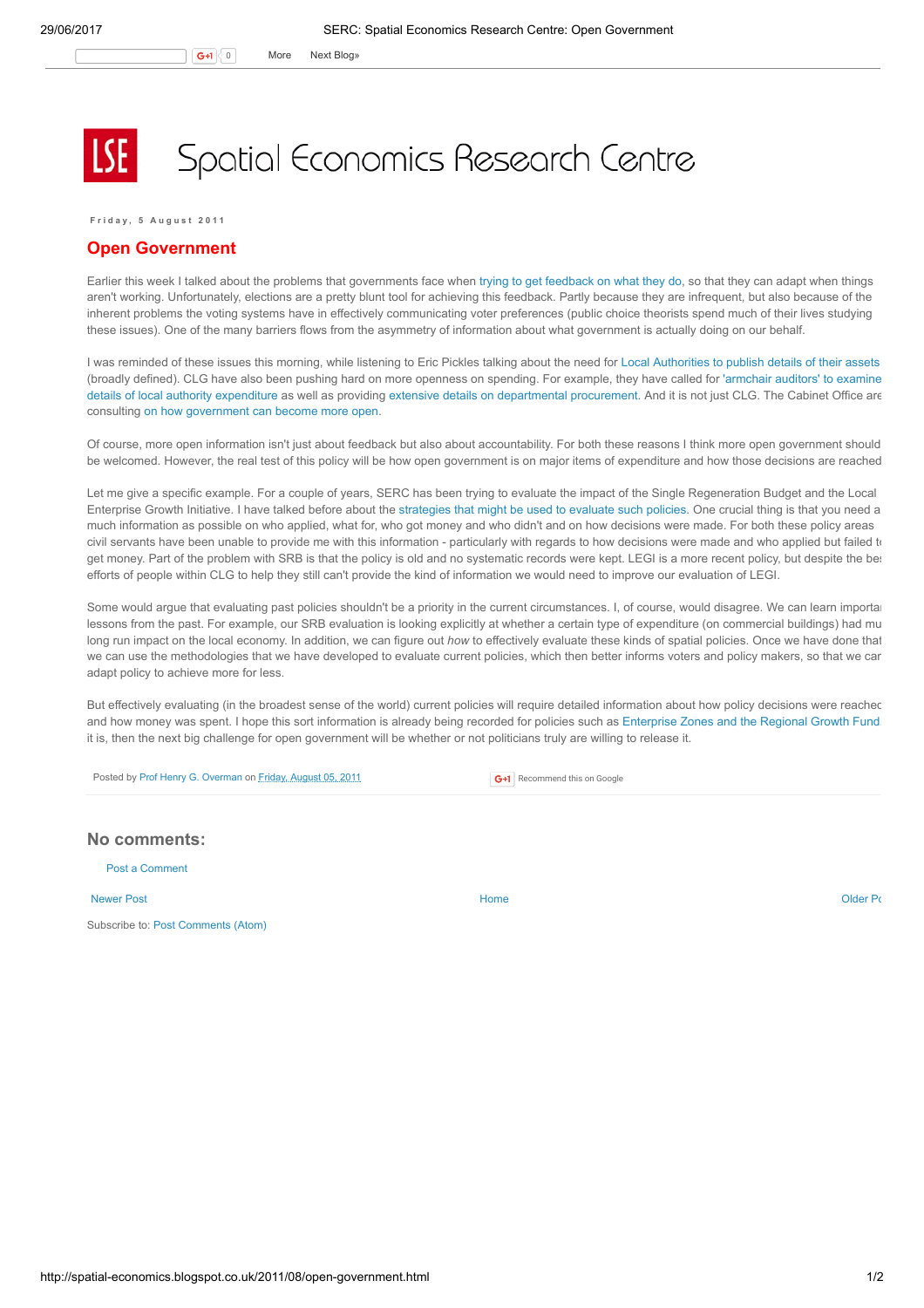G+1 0 More Next [Blog»](https://www.blogger.com/next-blog?navBar=true&blogID=974562301377041914)

## Spatial Economics Research Centre

Friday, 5 August 2011

## Open Government

Earlier this week I talked about the problems that governments face when trying to get [feedback](http://spatial-economics.blogspot.com/2011/08/adapting-to-localism.html) on what they do, so that they can adapt when things aren't working. Unfortunately, elections are a pretty blunt tool for achieving this feedback. Partly because they are infrequent, but also because of the inherent problems the voting systems have in effectively communicating voter preferences (public choice theorists spend much of their lives studying these issues). One of the many barriers flows from the asymmetry of information about what government is actually doing on our behalf.

I was reminded of these issues this morning, while listening to Eric Pickles talking about the need for Local [Authorities](http://www.bbc.co.uk/news/uk-politics-14405557) to publish details of their assets (broadly defined). CLG have also been pushing hard on more openness on spending. For example, they have called for 'armchair auditors' to examine details of local authority expenditure as well as providing extensive details on [departmental](http://www.communities.gov.uk/newsstories/newsroom/1914205) [procurement.](http://www.communities.gov.uk/news/corporate/1950602) And it is not just CLG. The Cabinet Office are consulting on how [government](http://www.cabinetoffice.gov.uk/news/how-should-government-become-even-more-open) can become more open.

Of course, more open information isn't just about feedback but also about accountability. For both these reasons I think more open government should be welcomed. However, the real test of this policy will be how open government is on major items of expenditure and how those decisions are reached.

Let me give a specific example. For a couple of years, SERC has been trying to evaluate the impact of the Single Regeneration Budget and the Local Enterprise Growth Initiative. I have talked before about the [strategies](http://spatial-economics.blogspot.com/2011/07/open-evaluation-and-future-of-evidence.html) that might be used to evaluate such policies. One crucial thing is that you need a much information as possible on who applied, what for, who got money and who didn't and on how decisions were made. For both these policy areas civil servants have been unable to provide me with this information - particularly with regards to how decisions were made and who applied but failed to get money. Part of the problem with SRB is that the policy is old and no systematic records were kept. LEGI is a more recent policy, but despite the bei efforts of people within CLG to help they still can't provide the kind of information we would need to improve our evaluation of LEGI.

Some would argue that evaluating past policies shouldn't be a priority in the current circumstances. I, of course, would disagree. We can learn importanties lessons from the past. For example, our SRB evaluation is looking explicitly at whether a certain type of expenditure (on commercial buildings) had mu long run impact on the local economy. In addition, we can figure out how to effectively evaluate these kinds of spatial policies. Once we have done that we can use the methodologies that we have developed to evaluate current policies, which then better informs voters and policy makers, so that we can adapt policy to achieve more for less.

But effectively evaluating (in the broadest sense of the world) current policies will require detailed information about how policy decisions were reached and how money was spent. I hope this sort information is already being recorded for policies such as [Enterprise](http://spatial-economics.blogspot.com/2011/07/open-evaluation-not-just-for-enterprise.html) Zones and the Regional Growth Fund it is, then the next big challenge for open government will be whether or not politicians truly are willing to release it.

Posted by Prof Henry G. [Overman](https://www.blogger.com/profile/15203876610491317062) on Friday, [August](http://spatial-economics.blogspot.co.uk/2011/08/open-government.html) 05, 2011

G+1 Recommend this on Google

## No comments:

Post a [Comment](https://www.blogger.com/comment.g?blogID=974562301377041914&postID=7733928351674471281)

[Newer](http://spatial-economics.blogspot.co.uk/2011/08/more-supermarket-bashing.html) Post and the contract of the contract of the contract [Home](http://spatial-economics.blogspot.co.uk/) contract of the contract of the contract of the contract of the contract of the contract of the contract of the contract of the contract of the contract of t

Subscribe to: Post [Comments](http://spatial-economics.blogspot.com/feeds/7733928351674471281/comments/default) (Atom)